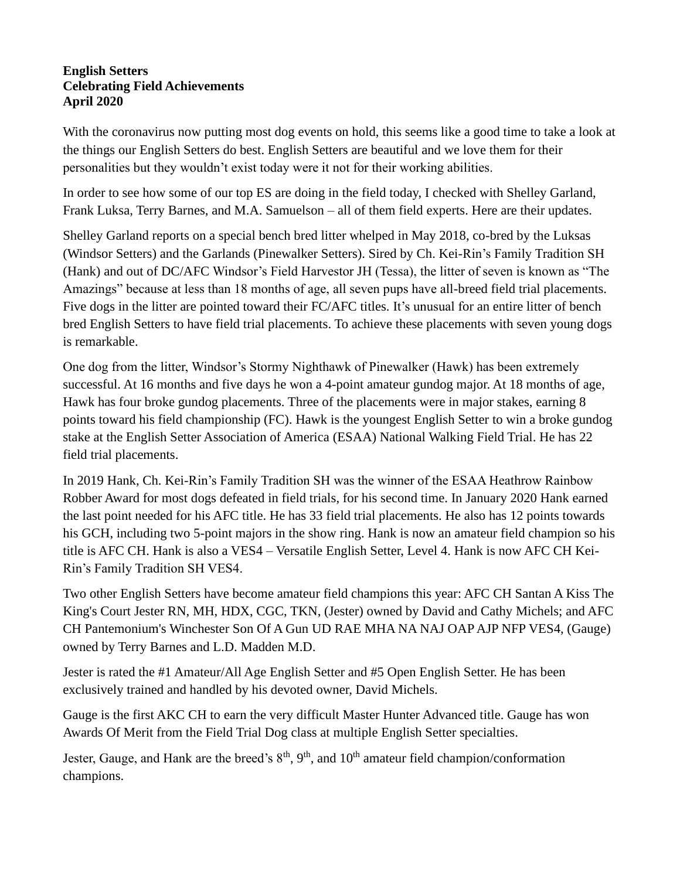## **English Setters Celebrating Field Achievements April 2020**

With the coronavirus now putting most dog events on hold, this seems like a good time to take a look at the things our English Setters do best. English Setters are beautiful and we love them for their personalities but they wouldn't exist today were it not for their working abilities.

In order to see how some of our top ES are doing in the field today, I checked with Shelley Garland, Frank Luksa, Terry Barnes, and M.A. Samuelson – all of them field experts. Here are their updates.

Shelley Garland reports on a special bench bred litter whelped in May 2018, co-bred by the Luksas (Windsor Setters) and the Garlands (Pinewalker Setters). Sired by Ch. Kei-Rin's Family Tradition SH (Hank) and out of DC/AFC Windsor's Field Harvestor JH (Tessa), the litter of seven is known as "The Amazings" because at less than 18 months of age, all seven pups have all-breed field trial placements. Five dogs in the litter are pointed toward their FC/AFC titles. It's unusual for an entire litter of bench bred English Setters to have field trial placements. To achieve these placements with seven young dogs is remarkable.

One dog from the litter, Windsor's Stormy Nighthawk of Pinewalker (Hawk) has been extremely successful. At 16 months and five days he won a 4-point amateur gundog major. At 18 months of age, Hawk has four broke gundog placements. Three of the placements were in major stakes, earning 8 points toward his field championship (FC). Hawk is the youngest English Setter to win a broke gundog stake at the English Setter Association of America (ESAA) National Walking Field Trial. He has 22 field trial placements.

In 2019 Hank, Ch. Kei-Rin's Family Tradition SH was the winner of the ESAA Heathrow Rainbow Robber Award for most dogs defeated in field trials, for his second time. In January 2020 Hank earned the last point needed for his AFC title. He has 33 field trial placements. He also has 12 points towards his GCH, including two 5-point majors in the show ring. Hank is now an amateur field champion so his title is AFC CH. Hank is also a VES4 – Versatile English Setter, Level 4. Hank is now AFC CH Kei-Rin's Family Tradition SH VES4.

Two other English Setters have become amateur field champions this year: AFC CH Santan A Kiss The King's Court Jester RN, MH, HDX, CGC, TKN, (Jester) owned by David and Cathy Michels; and AFC CH Pantemonium's Winchester Son Of A Gun UD RAE MHA NA NAJ OAP AJP NFP VES4, (Gauge) owned by Terry Barnes and L.D. Madden M.D.

Jester is rated the #1 Amateur/All Age English Setter and #5 Open English Setter. He has been exclusively trained and handled by his devoted owner, David Michels.

Gauge is the first AKC CH to earn the very difficult Master Hunter Advanced title. Gauge has won Awards Of Merit from the Field Trial Dog class at multiple English Setter specialties.

Jester, Gauge, and Hank are the breed's  $8<sup>th</sup>$ ,  $9<sup>th</sup>$ , and  $10<sup>th</sup>$  amateur field champion/conformation champions.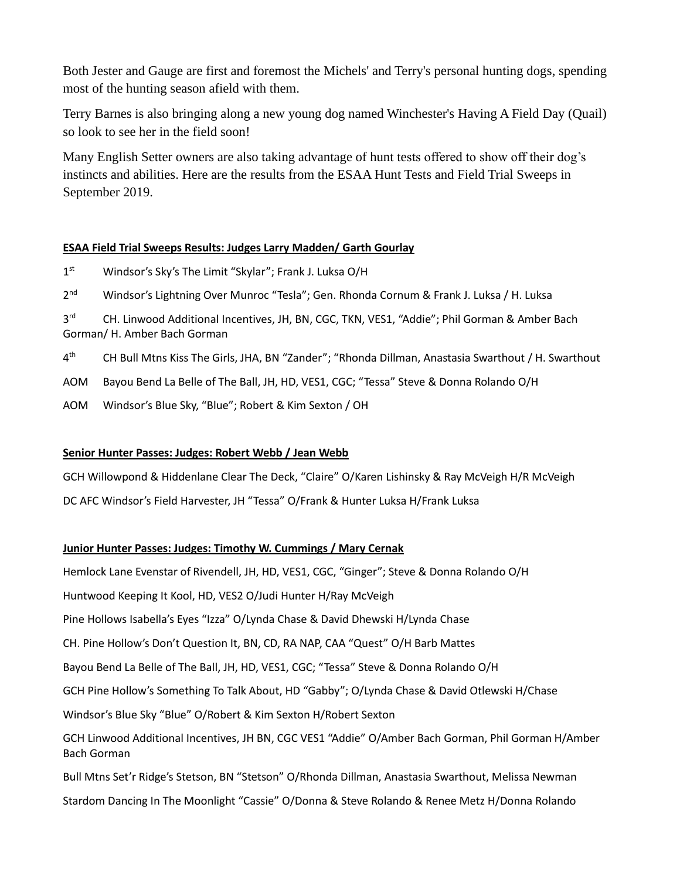Both Jester and Gauge are first and foremost the Michels' and Terry's personal hunting dogs, spending most of the hunting season afield with them.

Terry Barnes is also bringing along a new young dog named Winchester's Having A Field Day (Quail) so look to see her in the field soon!

Many English Setter owners are also taking advantage of hunt tests offered to show off their dog's instincts and abilities. Here are the results from the ESAA Hunt Tests and Field Trial Sweeps in September 2019.

## **ESAA Field Trial Sweeps Results: Judges Larry Madden/ Garth Gourlay**

 $1<sup>st</sup>$ Windsor's Sky's The Limit "Skylar"; Frank J. Luksa O/H

 $2<sup>nd</sup>$ Windsor's Lightning Over Munroc "Tesla"; Gen. Rhonda Cornum & Frank J. Luksa / H. Luksa

 $3<sup>rd</sup>$ rd CH. Linwood Additional Incentives, JH, BN, CGC, TKN, VES1, "Addie"; Phil Gorman & Amber Bach Gorman/ H. Amber Bach Gorman

 $4^{\text{th}}$ th CH Bull Mtns Kiss The Girls, JHA, BN "Zander"; "Rhonda Dillman, Anastasia Swarthout / H. Swarthout

AOM Bayou Bend La Belle of The Ball, JH, HD, VES1, CGC; "Tessa" Steve & Donna Rolando O/H

AOM Windsor's Blue Sky, "Blue"; Robert & Kim Sexton / OH

## **Senior Hunter Passes: Judges: Robert Webb / Jean Webb**

GCH Willowpond & Hiddenlane Clear The Deck, "Claire" O/Karen Lishinsky & Ray McVeigh H/R McVeigh DC AFC Windsor's Field Harvester, JH "Tessa" O/Frank & Hunter Luksa H/Frank Luksa

## **Junior Hunter Passes: Judges: Timothy W. Cummings / Mary Cernak**

Hemlock Lane Evenstar of Rivendell, JH, HD, VES1, CGC, "Ginger"; Steve & Donna Rolando O/H

Huntwood Keeping It Kool, HD, VES2 O/Judi Hunter H/Ray McVeigh

Pine Hollows Isabella's Eyes "Izza" O/Lynda Chase & David Dhewski H/Lynda Chase

CH. Pine Hollow's Don't Question It, BN, CD, RA NAP, CAA "Quest" O/H Barb Mattes

Bayou Bend La Belle of The Ball, JH, HD, VES1, CGC; "Tessa" Steve & Donna Rolando O/H

GCH Pine Hollow's Something To Talk About, HD "Gabby"; O/Lynda Chase & David Otlewski H/Chase

Windsor's Blue Sky "Blue" O/Robert & Kim Sexton H/Robert Sexton

GCH Linwood Additional Incentives, JH BN, CGC VES1 "Addie" O/Amber Bach Gorman, Phil Gorman H/Amber Bach Gorman

Bull Mtns Set'r Ridge's Stetson, BN "Stetson" O/Rhonda Dillman, Anastasia Swarthout, Melissa Newman

Stardom Dancing In The Moonlight "Cassie" O/Donna & Steve Rolando & Renee Metz H/Donna Rolando